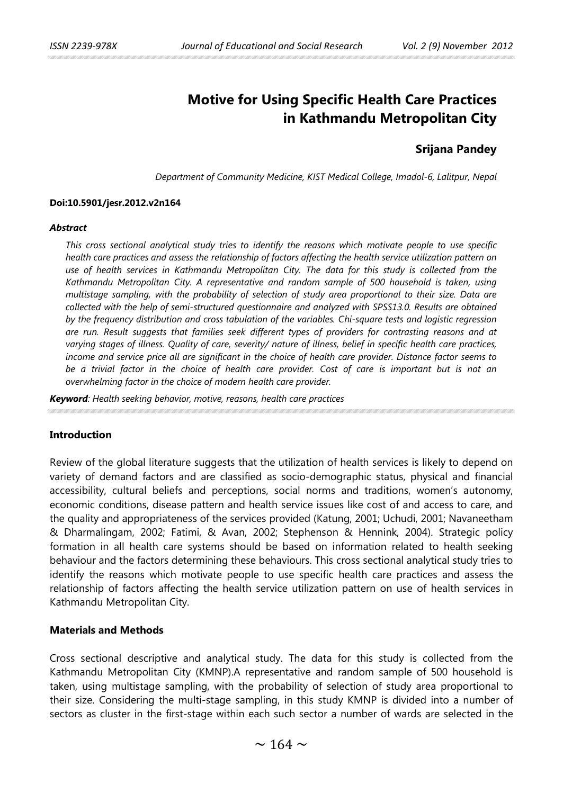# **Motive for Using Specific Health Care Practices in Kathmandu Metropolitan City**

# **Srijana Pandey**

*Department of Community Medicine, KIST Medical College, Imadol-6, Lalitpur, Nepal*

#### **Doi:10.5901/jesr.2012.v2n164**

#### *Abstract*

*This cross sectional analytical study tries to identify the reasons which motivate people to use specific health care practices and assess the relationship of factors affecting the health service utilization pattern on use of health services in Kathmandu Metropolitan City. The data for this study is collected from the Kathmandu Metropolitan City. A representative and random sample of 500 household is taken, using multistage sampling, with the probability of selection of study area proportional to their size. Data are collected with the help of semi-structured questionnaire and analyzed with SPSS13.0. Results are obtained by the frequency distribution and cross tabulation of the variables. Chi-square tests and logistic regression are run. Result suggests that families seek different types of providers for contrasting reasons and at varying stages of illness. Quality of care, severity/ nature of illness, belief in specific health care practices, income and service price all are significant in the choice of health care provider. Distance factor seems to*  be a trivial factor in the choice of health care provider. Cost of care is important but is not an *overwhelming factor in the choice of modern health care provider.*

*Keyword: Health seeking behavior, motive, reasons, health care practices*

# **Introduction**

Review of the global literature suggests that the utilization of health services is likely to depend on variety of demand factors and are classified as socio-demographic status, physical and financial accessibility, cultural beliefs and perceptions, social norms and traditions, women's autonomy, economic conditions, disease pattern and health service issues like cost of and access to care, and the quality and appropriateness of the services provided (Katung, 2001; Uchudi, 2001; Navaneetham & Dharmalingam, 2002; Fatimi, & Avan, 2002; Stephenson & Hennink, 2004). Strategic policy formation in all health care systems should be based on information related to health seeking behaviour and the factors determining these behaviours. This cross sectional analytical study tries to identify the reasons which motivate people to use specific health care practices and assess the relationship of factors affecting the health service utilization pattern on use of health services in Kathmandu Metropolitan City.

# **Materials and Methods**

Cross sectional descriptive and analytical study. The data for this study is collected from the Kathmandu Metropolitan City (KMNP).A representative and random sample of 500 household is taken, using multistage sampling, with the probability of selection of study area proportional to their size. Considering the multi-stage sampling, in this study KMNP is divided into a number of sectors as cluster in the first-stage within each such sector a number of wards are selected in the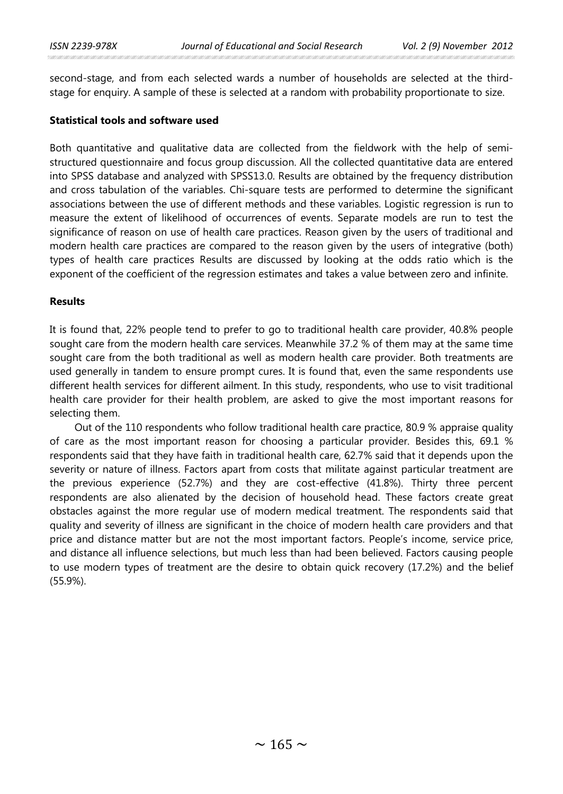second-stage, and from each selected wards a number of households are selected at the thirdstage for enquiry. A sample of these is selected at a random with probability proportionate to size.

### **Statistical tools and software used**

Both quantitative and qualitative data are collected from the fieldwork with the help of semistructured questionnaire and focus group discussion. All the collected quantitative data are entered into SPSS database and analyzed with SPSS13.0. Results are obtained by the frequency distribution and cross tabulation of the variables. Chi-square tests are performed to determine the significant associations between the use of different methods and these variables. Logistic regression is run to measure the extent of likelihood of occurrences of events. Separate models are run to test the significance of reason on use of health care practices. Reason given by the users of traditional and modern health care practices are compared to the reason given by the users of integrative (both) types of health care practices Results are discussed by looking at the odds ratio which is the exponent of the coefficient of the regression estimates and takes a value between zero and infinite.

### **Results**

It is found that, 22% people tend to prefer to go to traditional health care provider, 40.8% people sought care from the modern health care services. Meanwhile 37.2 % of them may at the same time sought care from the both traditional as well as modern health care provider. Both treatments are used generally in tandem to ensure prompt cures. It is found that, even the same respondents use different health services for different ailment. In this study, respondents, who use to visit traditional health care provider for their health problem, are asked to give the most important reasons for selecting them.

Out of the 110 respondents who follow traditional health care practice, 80.9 % appraise quality of care as the most important reason for choosing a particular provider. Besides this, 69.1 % respondents said that they have faith in traditional health care, 62.7% said that it depends upon the severity or nature of illness. Factors apart from costs that militate against particular treatment are the previous experience (52.7%) and they are cost-effective (41.8%). Thirty three percent respondents are also alienated by the decision of household head. These factors create great obstacles against the more regular use of modern medical treatment. The respondents said that quality and severity of illness are significant in the choice of modern health care providers and that price and distance matter but are not the most important factors. People's income, service price, and distance all influence selections, but much less than had been believed. Factors causing people to use modern types of treatment are the desire to obtain quick recovery (17.2%) and the belief (55.9%).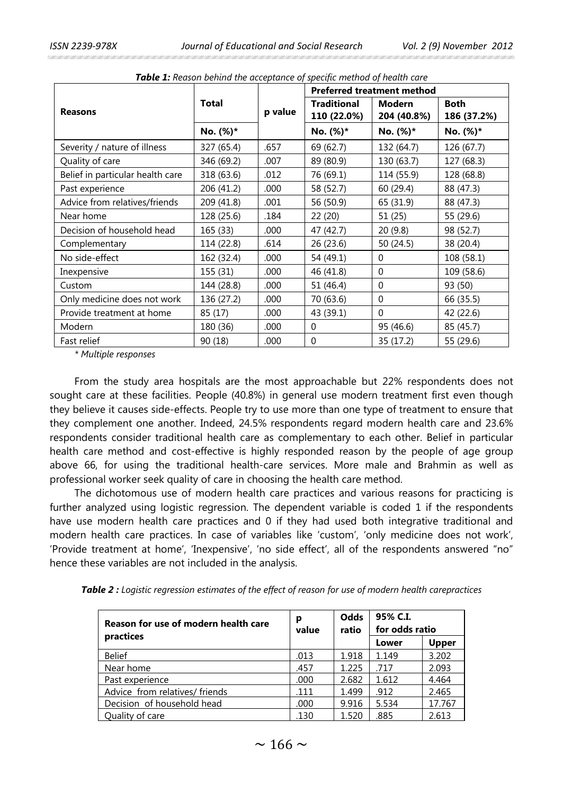|                                  |              |         | <b>Preferred treatment method</b> |                              |                            |  |
|----------------------------------|--------------|---------|-----------------------------------|------------------------------|----------------------------|--|
| <b>Reasons</b>                   | <b>Total</b> | p value | <b>Traditional</b><br>110 (22.0%) | <b>Modern</b><br>204 (40.8%) | <b>Both</b><br>186 (37.2%) |  |
|                                  | No. (%)*     |         | No. (%)*                          | No. (%)*                     | No. (%)*                   |  |
| Severity / nature of illness     | 327 (65.4)   | .657    | 69 (62.7)                         | 132 (64.7)                   | 126 (67.7)                 |  |
| Quality of care                  | 346 (69.2)   | .007    | 89 (80.9)                         | 130 (63.7)                   | 127 (68.3)                 |  |
| Belief in particular health care | 318 (63.6)   | .012    | 76 (69.1)                         | 114 (55.9)                   | 128 (68.8)                 |  |
| Past experience                  | 206 (41.2)   | .000    | 58 (52.7)                         | 60 (29.4)                    | 88 (47.3)                  |  |
| Advice from relatives/friends    | 209 (41.8)   | .001    | 56 (50.9)                         | 65 (31.9)                    | 88 (47.3)                  |  |
| Near home                        | 128 (25.6)   | .184    | 22 (20)                           | 51 (25)                      | 55 (29.6)                  |  |
| Decision of household head       | 165 (33)     | .000    | 47 (42.7)                         | 20 (9.8)                     | 98 (52.7)                  |  |
| Complementary                    | 114 (22.8)   | .614    | 26(23.6)                          | 50(24.5)                     | 38 (20.4)                  |  |
| No side-effect                   | 162 (32.4)   | .000    | 54 (49.1)                         | $\Omega$                     | 108 (58.1)                 |  |
| Inexpensive                      | 155 (31)     | .000    | 46 (41.8)                         | $\Omega$                     | 109 (58.6)                 |  |
| Custom                           | 144 (28.8)   | .000    | 51 (46.4)                         | $\mathbf 0$                  | 93 (50)                    |  |
| Only medicine does not work      | 136 (27.2)   | .000    | 70 (63.6)                         | $\mathbf 0$                  | 66 (35.5)                  |  |
| Provide treatment at home        | 85 (17)      | .000    | 43 (39.1)                         | $\Omega$                     | 42 (22.6)                  |  |
| Modern                           | 180 (36)     | .000    | $\Omega$                          | 95 (46.6)                    | 85 (45.7)                  |  |
| Fast relief                      | 90 (18)      | .000    | $\Omega$                          | 35 (17.2)                    | 55 (29.6)                  |  |

*Table 1: Reason behind the acceptance of specific method of health care*

*\* Multiple responses*

From the study area hospitals are the most approachable but 22% respondents does not sought care at these facilities. People (40.8%) in general use modern treatment first even though they believe it causes side-effects. People try to use more than one type of treatment to ensure that they complement one another. Indeed, 24.5% respondents regard modern health care and 23.6% respondents consider traditional health care as complementary to each other. Belief in particular health care method and cost-effective is highly responded reason by the people of age group above 66, for using the traditional health-care services. More male and Brahmin as well as professional worker seek quality of care in choosing the health care method.

The dichotomous use of modern health care practices and various reasons for practicing is further analyzed using logistic regression. The dependent variable is coded 1 if the respondents have use modern health care practices and 0 if they had used both integrative traditional and modern health care practices. In case of variables like 'custom', 'only medicine does not work', 'Provide treatment at home', 'Inexpensive', 'no side effect', all of the respondents answered "no" hence these variables are not included in the analysis.

|  |  |  |  |  |  |  |  |  |  | <b>Table 2 :</b> Logistic regression estimates of the effect of reason for use of modern health carepractices |
|--|--|--|--|--|--|--|--|--|--|---------------------------------------------------------------------------------------------------------------|
|--|--|--|--|--|--|--|--|--|--|---------------------------------------------------------------------------------------------------------------|

| Reason for use of modern health care | р<br>value | Odds<br>ratio | for odds ratio |              |
|--------------------------------------|------------|---------------|----------------|--------------|
| practices                            |            |               | Lower          | <b>Upper</b> |
| <b>Belief</b>                        | .013       | 1.918         | 1.149          | 3.202        |
| Near home                            | .457       | 1.225         | .717           | 2.093        |
| Past experience                      | .000       | 2.682         | 1.612          | 4.464        |
| Advice from relatives/ friends       | .111       | 1.499         | .912           | 2.465        |
| Decision of household head           | .000       | 9.916         | 5.534          | 17.767       |
| Quality of care                      | .130       | 1.520         | .885           | 2.613        |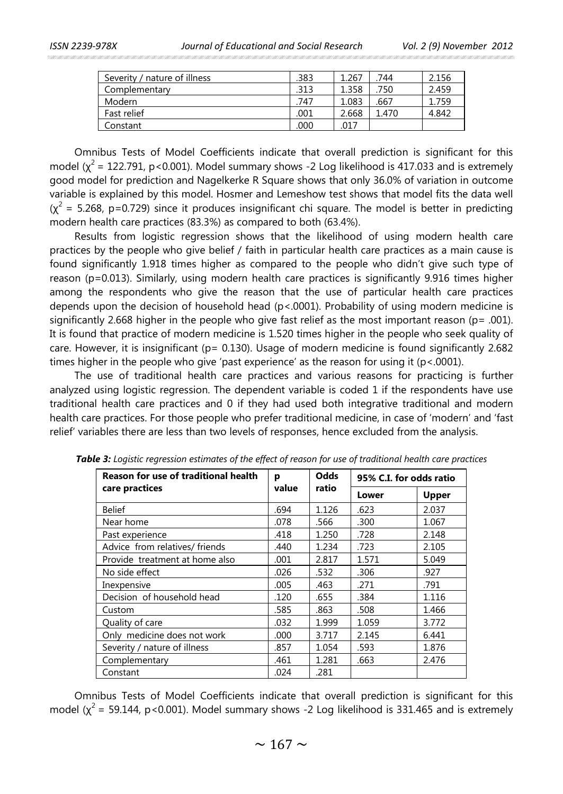| Severity / nature of illness | .383 | 1.267 | .744  | 2.156 |
|------------------------------|------|-------|-------|-------|
| Complementary                | .313 | 1.358 | .750  | 2.459 |
| Modern                       | 747  | 1.083 | .667  | 759   |
| Fast relief                  | .001 | 2.668 | 1.470 | 4.842 |
| Constant                     | 000  | .017  |       |       |
|                              |      |       |       |       |

Omnibus Tests of Model Coefficients indicate that overall prediction is significant for this model ( $x^2$  = 122.791, p < 0.001). Model summary shows -2 Log likelihood is 417.033 and is extremely good model for prediction and Nagelkerke R Square shows that only 36.0% of variation in outcome variable is explained by this model. Hosmer and Lemeshow test shows that model fits the data well  $(x^2 = 5.268, p=0.729)$  since it produces insignificant chi square. The model is better in predicting modern health care practices (83.3%) as compared to both (63.4%).

Results from logistic regression shows that the likelihood of using modern health care practices by the people who give belief / faith in particular health care practices as a main cause is found significantly 1.918 times higher as compared to the people who didn't give such type of reason (p=0.013). Similarly, using modern health care practices is significantly 9.916 times higher among the respondents who give the reason that the use of particular health care practices depends upon the decision of household head (p<.0001). Probability of using modern medicine is significantly 2.668 higher in the people who give fast relief as the most important reason ( $p = .001$ ). It is found that practice of modern medicine is 1.520 times higher in the people who seek quality of care. However, it is insignificant ( $p = 0.130$ ). Usage of modern medicine is found significantly 2.682 times higher in the people who give 'past experience' as the reason for using it (p<.0001).

The use of traditional health care practices and various reasons for practicing is further analyzed using logistic regression. The dependent variable is coded 1 if the respondents have use traditional health care practices and 0 if they had used both integrative traditional and modern health care practices. For those people who prefer traditional medicine, in case of 'modern' and 'fast relief' variables there are less than two levels of responses, hence excluded from the analysis.

| <b>Reason for use of traditional health</b> | р     | <b>Odds</b> | 95% C.I. for odds ratio |              |  |
|---------------------------------------------|-------|-------------|-------------------------|--------------|--|
| care practices                              | value | ratio       | Lower                   | <b>Upper</b> |  |
| <b>Belief</b>                               | .694  | 1.126       | .623                    | 2.037        |  |
| Near home                                   | .078  | .566        | .300                    | 1.067        |  |
| Past experience                             | .418  | 1.250       | .728                    | 2.148        |  |
| Advice from relatives/ friends              | .440  | 1.234       | .723                    | 2.105        |  |
| Provide treatment at home also              | .001  | 2.817       | 1.571                   | 5.049        |  |
| No side effect                              | .026  | .532        | .306                    | .927         |  |
| Inexpensive                                 | .005  | .463        | .271                    | .791         |  |
| Decision of household head                  | .120  | .655        | .384                    | 1.116        |  |
| Custom                                      | .585  | .863        | .508                    | 1.466        |  |
| Quality of care                             | .032  | 1.999       | 1.059                   | 3.772        |  |
| Only medicine does not work                 | .000  | 3.717       | 2.145                   | 6.441        |  |
| Severity / nature of illness                | .857  | 1.054       | .593                    | 1.876        |  |
| Complementary                               | .461  | 1.281       | .663                    | 2.476        |  |
| Constant                                    | .024  | .281        |                         |              |  |

*Table 3: Logistic regression estimates of the effect of reason for use of traditional health care practices*

Omnibus Tests of Model Coefficients indicate that overall prediction is significant for this model  $(\chi^2 = 59.144, p < 0.001)$ . Model summary shows -2 Log likelihood is 331.465 and is extremely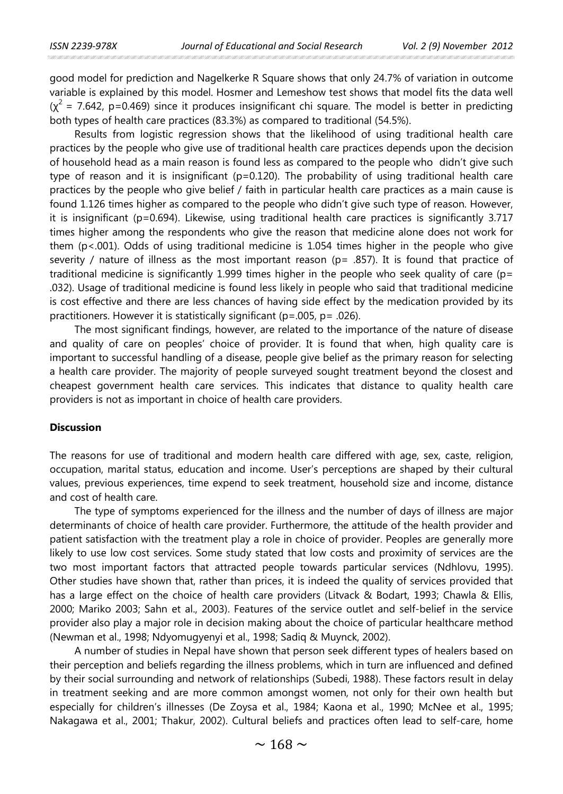good model for prediction and Nagelkerke R Square shows that only 24.7% of variation in outcome variable is explained by this model. Hosmer and Lemeshow test shows that model fits the data well  $(x^2 = 7.642, p=0.469)$  since it produces insignificant chi square. The model is better in predicting both types of health care practices (83.3%) as compared to traditional (54.5%).

Results from logistic regression shows that the likelihood of using traditional health care practices by the people who give use of traditional health care practices depends upon the decision of household head as a main reason is found less as compared to the people who didn't give such type of reason and it is insignificant ( $p=0.120$ ). The probability of using traditional health care practices by the people who give belief / faith in particular health care practices as a main cause is found 1.126 times higher as compared to the people who didn't give such type of reason. However, it is insignificant (p=0.694). Likewise, using traditional health care practices is significantly 3.717 times higher among the respondents who give the reason that medicine alone does not work for them (p<.001). Odds of using traditional medicine is 1.054 times higher in the people who give severity / nature of illness as the most important reason ( $p = .857$ ). It is found that practice of traditional medicine is significantly 1.999 times higher in the people who seek quality of care (p= .032). Usage of traditional medicine is found less likely in people who said that traditional medicine is cost effective and there are less chances of having side effect by the medication provided by its practitioners. However it is statistically significant (p=.005, p= .026).

The most significant findings, however, are related to the importance of the nature of disease and quality of care on peoples' choice of provider. It is found that when, high quality care is important to successful handling of a disease, people give belief as the primary reason for selecting a health care provider. The majority of people surveyed sought treatment beyond the closest and cheapest government health care services. This indicates that distance to quality health care providers is not as important in choice of health care providers.

# **Discussion**

The reasons for use of traditional and modern health care differed with age, sex, caste, religion, occupation, marital status, education and income. User's perceptions are shaped by their cultural values, previous experiences, time expend to seek treatment, household size and income, distance and cost of health care.

The type of symptoms experienced for the illness and the number of days of illness are major determinants of choice of health care provider. Furthermore, the attitude of the health provider and patient satisfaction with the treatment play a role in choice of provider. Peoples are generally more likely to use low cost services. Some study stated that low costs and proximity of services are the two most important factors that attracted people towards particular services (Ndhlovu, 1995). Other studies have shown that, rather than prices, it is indeed the quality of services provided that has a large effect on the choice of health care providers (Litvack & Bodart, 1993; Chawla & Ellis, 2000; Mariko 2003; Sahn et al., 2003). Features of the service outlet and self-belief in the service provider also play a major role in decision making about the choice of particular healthcare method (Newman et al., 1998; Ndyomugyenyi et al., 1998; Sadiq & Muynck, 2002).

A number of studies in Nepal have shown that person seek different types of healers based on their perception and beliefs regarding the illness problems, which in turn are influenced and defined by their social surrounding and network of relationships (Subedi, 1988). These factors result in delay in treatment seeking and are more common amongst women, not only for their own health but especially for children's illnesses (De Zoysa et al., 1984; Kaona et al., 1990; McNee et al., 1995; Nakagawa et al., 2001; Thakur, 2002). Cultural beliefs and practices often lead to self-care, home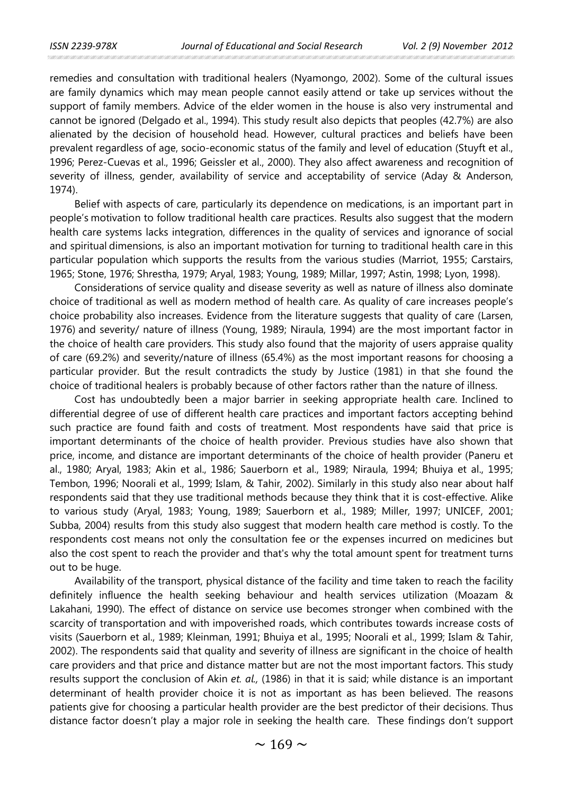remedies and consultation with traditional healers (Nyamongo, 2002). Some of the cultural issues are family dynamics which may mean people cannot easily attend or take up services without the support of family members. Advice of the elder women in the house is also very instrumental and cannot be ignored (Delgado et al., 1994). This study result also depicts that peoples (42.7%) are also alienated by the decision of household head. However, cultural practices and beliefs have been prevalent regardless of age, socio-economic status of the family and level of education (Stuyft et al., 1996; Perez-Cuevas et al., 1996; Geissler et al., 2000). They also affect awareness and recognition of severity of illness, gender, availability of service and acceptability of service (Aday & Anderson, 1974).

Belief with aspects of care, particularly its dependence on medications, is an important part in people's motivation to follow traditional health care practices. Results also suggest that the modern health care systems lacks integration, differences in the quality of services and ignorance of social and spiritual dimensions, is also an important motivation for turning to traditional health care in this particular population which supports the results from the various studies (Marriot, 1955; Carstairs, 1965; Stone, 1976; Shrestha, 1979; Aryal, 1983; Young, 1989; Millar, 1997; Astin, 1998; Lyon, 1998).

Considerations of service quality and disease severity as well as nature of illness also dominate choice of traditional as well as modern method of health care. As quality of care increases people's choice probability also increases. Evidence from the literature suggests that quality of care (Larsen, 1976) and severity/ nature of illness (Young, 1989; Niraula, 1994) are the most important factor in the choice of health care providers. This study also found that the majority of users appraise quality of care (69.2%) and severity/nature of illness (65.4%) as the most important reasons for choosing a particular provider. But the result contradicts the study by Justice (1981) in that she found the choice of traditional healers is probably because of other factors rather than the nature of illness.

Cost has undoubtedly been a major barrier in seeking appropriate health care. Inclined to differential degree of use of different health care practices and important factors accepting behind such practice are found faith and costs of treatment. Most respondents have said that price is important determinants of the choice of health provider. Previous studies have also shown that price, income, and distance are important determinants of the choice of health provider (Paneru et al., 1980; Aryal, 1983; Akin et al., 1986; Sauerborn et al., 1989; Niraula, 1994; Bhuiya et al., 1995; Tembon, 1996; Noorali et al., 1999; Islam, & Tahir, 2002). Similarly in this study also near about half respondents said that they use traditional methods because they think that it is cost-effective. Alike to various study (Aryal, 1983; Young, 1989; Sauerborn et al., 1989; Miller, 1997; UNICEF, 2001; Subba, 2004) results from this study also suggest that modern health care method is costly. To the respondents cost means not only the consultation fee or the expenses incurred on medicines but also the cost spent to reach the provider and that's why the total amount spent for treatment turns out to be huge.

Availability of the transport, physical distance of the facility and time taken to reach the facility definitely influence the health seeking behaviour and health services utilization (Moazam & Lakahani, 1990). The effect of distance on service use becomes stronger when combined with the scarcity of transportation and with impoverished roads, which contributes towards increase costs of visits (Sauerborn et al., 1989; Kleinman, 1991; Bhuiya et al., 1995; Noorali et al., 1999; Islam & Tahir, 2002). The respondents said that quality and severity of illness are significant in the choice of health care providers and that price and distance matter but are not the most important factors. This study results support the conclusion of Akin *et. al.,* (1986) in that it is said; while distance is an important determinant of health provider choice it is not as important as has been believed. The reasons patients give for choosing a particular health provider are the best predictor of their decisions. Thus distance factor doesn't play a major role in seeking the health care. These findings don't support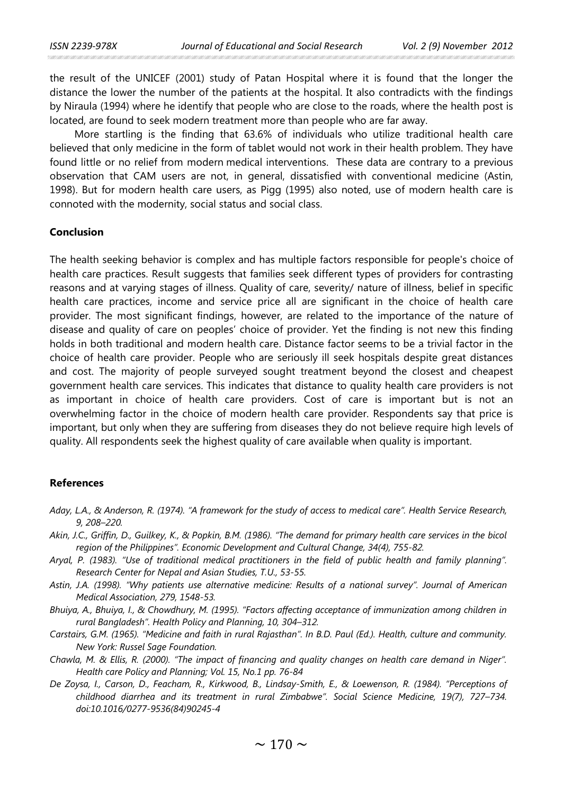the result of the UNICEF (2001) study of Patan Hospital where it is found that the longer the distance the lower the number of the patients at the hospital. It also contradicts with the findings by Niraula (1994) where he identify that people who are close to the roads, where the health post is located, are found to seek modern treatment more than people who are far away.

More startling is the finding that 63.6% of individuals who utilize traditional health care believed that only medicine in the form of tablet would not work in their health problem. They have found little or no relief from modern medical interventions. These data are contrary to a previous observation that CAM users are not, in general, dissatisfied with conventional medicine (Astin, 1998). But for modern health care users, as Pigg (1995) also noted, use of modern health care is connoted with the modernity, social status and social class.

#### **Conclusion**

The health seeking behavior is complex and has multiple factors responsible for people's choice of health care practices. Result suggests that families seek different types of providers for contrasting reasons and at varying stages of illness. Quality of care, severity/ nature of illness, belief in specific health care practices, income and service price all are significant in the choice of health care provider. The most significant findings, however, are related to the importance of the nature of disease and quality of care on peoples' choice of provider. Yet the finding is not new this finding holds in both traditional and modern health care. Distance factor seems to be a trivial factor in the choice of health care provider. People who are seriously ill seek hospitals despite great distances and cost. The majority of people surveyed sought treatment beyond the closest and cheapest government health care services. This indicates that distance to quality health care providers is not as important in choice of health care providers. Cost of care is important but is not an overwhelming factor in the choice of modern health care provider. Respondents say that price is important, but only when they are suffering from diseases they do not believe require high levels of quality. All respondents seek the highest quality of care available when quality is important.

#### **References**

- *Aday, L.A., & Anderson, R. (1974). "A framework for the study of access to medical care". Health Service Research, 9, 208–220.*
- *Akin, J.C., Griffin, D., Guilkey, K., & Popkin, B.M. (1986). "The demand for primary health care services in the bicol region of the Philippines". Economic Development and Cultural Change, 34(4), 755-82.*
- *Aryal, P. (1983). "Use of traditional medical practitioners in the field of public health and family planning". Research Center for Nepal and Asian Studies, T.U., 53-55.*
- *Astin, J.A. (1998). "Why patients use alternative medicine: Results of a national survey". Journal of American Medical Association, 279, 1548-53.*
- *Bhuiya, A., Bhuiya, I., & Chowdhury, M. (1995). "Factors affecting acceptance of immunization among children in rural Bangladesh". Health Policy and Planning, 10, 304–312.*
- *Carstairs, G.M. (1965). "Medicine and faith in rural Rajasthan". In B.D. Paul (Ed.). Health, culture and community. New York: Russel Sage Foundation.*
- *Chawla, M. & Ellis, R. (2000). "The impact of financing and quality changes on health care demand in Niger". Health care Policy and Planning; Vol. 15, No.1 pp. 76-84*
- *De Zoysa, I., Carson, D., Feacham, R., Kirkwood, B., Lindsay-Smith, E., & Loewenson, R. (1984). "Perceptions of childhood diarrhea and its treatment in rural Zimbabwe". Social Science Medicine, 19(7), 727–734. doi:10.1016/0277-9536(84)90245-4*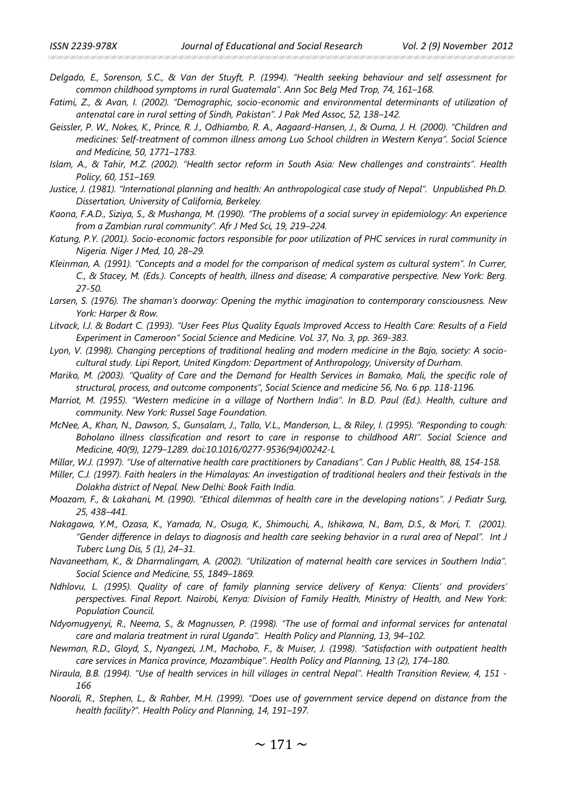- *Delgado, E., Sorenson, S.C., & Van der Stuyft, P. (1994). "Health seeking behaviour and self assessment for common childhood symptoms in rural Guatemala". Ann Soc Belg Med Trop, 74, 161–168.*
- *Fatimi, Z., & Avan, I. (2002). "Demographic, socio-economic and environmental determinants of utilization of antenatal care in rural setting of Sindh, Pakistan". J Pak Med Assoc, 52, 138–142.*
- *Geissler, P. W., Nokes, K., Prince, R. J., Odhiambo, R. A., Aagaard-Hansen, J., & Ouma, J. H. (2000). "Children and medicines: Self-treatment of common illness among Luo School children in Western Kenya". Social Science and Medicine, 50, 1771–1783.*
- *Islam, A., & Tahir, M.Z. (2002). "Health sector reform in South Asia: New challenges and constraints". Health Policy, 60, 151–169.*
- *Justice, J. (1981). "International planning and health: An anthropological case study of Nepal". Unpublished Ph.D. Dissertation, University of California, Berkeley.*
- *Kaona, F.A.D., Siziya, S., & Mushanga, M. (1990). "The problems of a social survey in epidemiology: An experience from a Zambian rural community". Afr J Med Sci, 19, 219–224.*
- *Katung, P.Y. (2001). Socio-economic factors responsible for poor utilization of PHC services in rural community in Nigeria. Niger J Med, 10, 28–29.*
- *Kleinman, A. (1991). "Concepts and a model for the comparison of medical system as cultural system". In Currer, C., & Stacey, M. (Eds.). Concepts of health, illness and disease; A comparative perspective. New York: Berg. 27-50.*
- *Larsen, S. (1976). The shaman's doorway: Opening the mythic imagination to contemporary consciousness. New York: Harper & Row.*
- *Litvack, I.J. & Bodart C. (1993). "User Fees Plus Quality Equals Improved Access to Health Care: Results of a Field Experiment in Cameroon" Social Science and Medicine. Vol. 37, No. 3, pp. 369-383.*
- *Lyon, V. (1998). Changing perceptions of traditional healing and modern medicine in the Bajo, society: A sociocultural study. Lipi Report, United Kingdom: Department of Anthropology, University of Durham.*
- *Mariko, M. (2003). "Quality of Care and the Demand for Health Services in Bamako, Mali, the specific role of structural, process, and outcome components", Social Science and medicine 56, No. 6 pp. 118-1196.*
- *Marriot, M. (1955). "Western medicine in a village of Northern India". In B.D. Paul (Ed.). Health, culture and community. New York: Russel Sage Foundation.*
- *McNee, A., Khan, N., Dawson, S., Gunsalam, J., Tallo, V.L., Manderson, L., & Riley, I. (1995). "Responding to cough: Boholano illness classification and resort to care in response to childhood ARI". Social Science and Medicine, 40(9), 1279–1289. doi:10.1016/0277-9536(94)00242-L*
- *Millar, W.J. (1997). "Use of alternative health care practitioners by Canadians". Can J Public Health, 88, 154-158.*
- *Miller, C.J. (1997). Faith healers in the Himalayas: An investigation of traditional healers and their festivals in the Dolakha district of Nepal. New Delhi: Book Faith India.*
- *Moazam, F., & Lakahani, M. (1990). "Ethical dilemmas of health care in the developing nations". J Pediatr Surg, 25, 438–441.*
- *Nakagawa, Y.M., Ozasa, K., Yamada, N., Osuga, K., Shimouchi, A., Ishikawa, N., Bam, D.S., & Mori, T. (2001). "Gender difference in delays to diagnosis and health care seeking behavior in a rural area of Nepal". Int J Tuberc Lung Dis, 5 (1), 24–31.*
- *Navaneetham, K., & Dharmalingam, A. (2002). "Utilization of maternal health care services in Southern India". Social Science and Medicine, 55, 1849–1869.*
- *Ndhlovu, L. (1995). Quality of care of family planning service delivery of Kenya: Clients' and providers' perspectives. Final Report. Nairobi, Kenya: Division of Family Health, Ministry of Health, and New York: Population Council.*
- *Ndyomugyenyi, R., Neema, S., & Magnussen, P. (1998). "The use of formal and informal services for antenatal care and malaria treatment in rural Uganda". Health Policy and Planning, 13, 94–102.*
- *Newman, R.D., Gloyd, S., Nyangezi, J.M., Machobo, F., & Muiser, J. (1998). "Satisfaction with outpatient health care services in Manica province, Mozambique". Health Policy and Planning, 13 (2), 174–180.*
- *Niraula, B.B. (1994). "Use of health services in hill villages in central Nepal". Health Transition Review, 4, 151 - 166*
- *Noorali, R., Stephen, L., & Rahber, M.H. (1999). "Does use of government service depend on distance from the health facility?". Health Policy and Planning, 14, 191–197.*